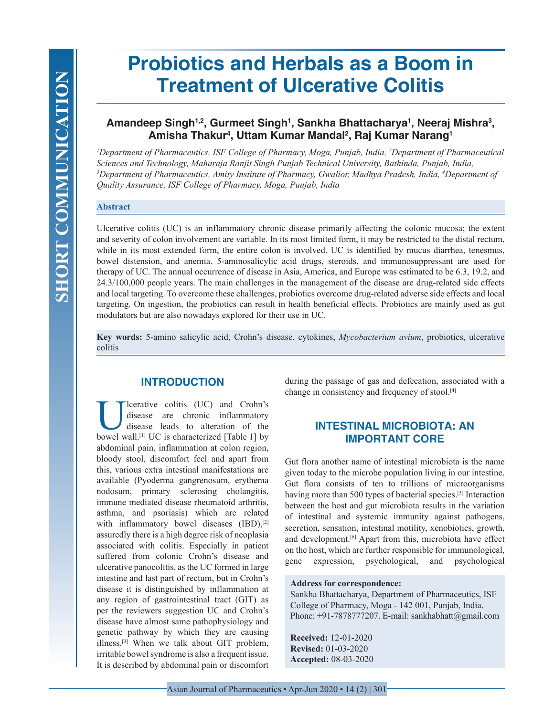# **Probiotics and Herbals as a Boom in Treatment of Ulcerative Colitis**

# Amandeep Singh<sup>1,2</sup>, Gurmeet Singh<sup>1</sup>, Sankha Bhattacharya<sup>1</sup>, Neeraj Mishra<sup>3</sup>, **Amisha Thakur4 , Uttam Kumar Mandal2 , Raj Kumar Narang1**

*1 Department of Pharmaceutics, ISF College of Pharmacy, Moga, Punjab, India, 2 Department of Pharmaceutical Sciences and Technology, Maharaja Ranjit Singh Punjab Technical University, Bathinda, Punjab, India, 3 Department of Pharmaceutics, Amity Institute of Pharmacy, Gwalior, Madhya Pradesh, India, 4 Department of Quality Assurance, ISF College of Pharmacy, Moga, Punjab, India*

## **Abstract**

Ulcerative colitis (UC) is an inflammatory chronic disease primarily affecting the colonic mucosa; the extent and severity of colon involvement are variable. In its most limited form, it may be restricted to the distal rectum, while in its most extended form, the entire colon is involved. UC is identified by mucus diarrhea, tenesmus, bowel distension, and anemia. 5-aminosalicylic acid drugs, steroids, and immunosuppressant are used for therapy of UC. The annual occurrence of disease in Asia, America, and Europe was estimated to be 6.3, 19.2, and 24.3/100,000 people years. The main challenges in the management of the disease are drug-related side effects and local targeting. To overcome these challenges, probiotics overcome drug-related adverse side effects and local targeting. On ingestion, the probiotics can result in health beneficial effects. Probiotics are mainly used as gut modulators but are also nowadays explored for their use in UC.

**Key words:** 5-amino salicylic acid, Crohn's disease, cytokines, *Mycobacterium avium*, probiotics, ulcerative colitis

# **INTRODUCTION**

lcerative colitis (UC) and Crohn's disease are chronic inflammatory disease leads to alteration of the bowel wall.<sup>[1]</sup> UC is characterized [Table 1] by abdominal pain, inflammation at colon region, bloody stool, discomfort feel and apart from this, various extra intestinal manifestations are available (Pyoderma gangrenosum, erythema nodosum, primary sclerosing cholangitis, immune mediated disease rheumatoid arthritis, asthma, and psoriasis) which are related with inflammatory bowel diseases (IBD),<sup>[2]</sup> assuredly there is a high degree risk of neoplasia associated with colitis. Especially in patient suffered from colonic Crohn's disease and ulcerative panocolitis, as the UC formed in large intestine and last part of rectum, but in Crohn's disease it is distinguished by inflammation at any region of gastrointestinal tract (GIT) as per the reviewers suggestion UC and Crohn's disease have almost same pathophysiology and genetic pathway by which they are causing illness.[3] When we talk about GIT problem, irritable bowel syndrome is also a frequent issue. It is described by abdominal pain or discomfort

during the passage of gas and defecation, associated with a change in consistency and frequency of stool.<sup>[4]</sup>

# **INTESTINAL MICROBIOTA: AN IMPORTANT CORE**

Gut flora another name of intestinal microbiota is the name given today to the microbe population living in our intestine. Gut flora consists of ten to trillions of microorganisms having more than 500 types of bacterial species.[5] Interaction between the host and gut microbiota results in the variation of intestinal and systemic immunity against pathogens, secretion, sensation, intestinal motility, xenobiotics, growth, and development.[6] Apart from this, microbiota have effect on the host, which are further responsible for immunological, gene expression, psychological, and psychological

#### **Address for correspondence:**

Sankha Bhattacharya, Department of Pharmaceutics, ISF College of Pharmacy, Moga - 142 001, Punjab, India. Phone:  $+91-7878777207$ . E-mail: sankhabhatt@gmail.com

**Received:** 12-01-2020 **Revised:** 01-03-2020 **Accepted:** 08-03-2020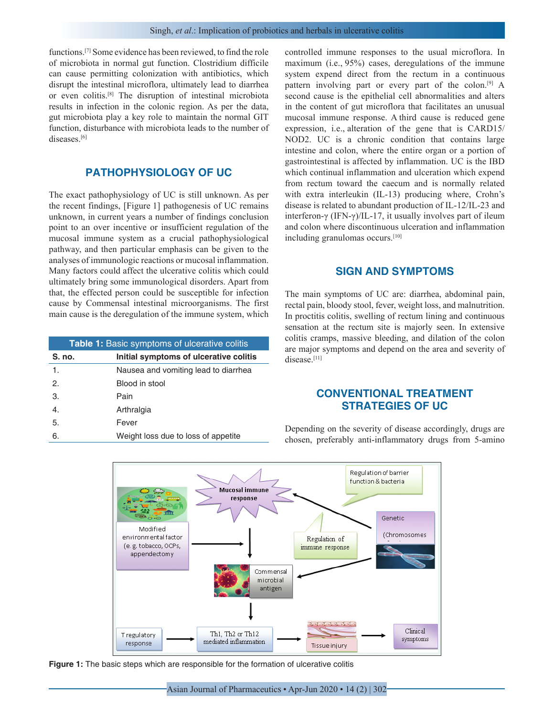functions.[7] Some evidence has been reviewed, to find the role of microbiota in normal gut function. Clostridium difficile can cause permitting colonization with antibiotics, which disrupt the intestinal microflora, ultimately lead to diarrhea or even colitis.[8] The disruption of intestinal microbiota results in infection in the colonic region. As per the data, gut microbiota play a key role to maintain the normal GIT function, disturbance with microbiota leads to the number of diseases.<sup>[6]</sup>

## **PATHOPHYSIOLOGY OF UC**

The exact pathophysiology of UC is still unknown. As per the recent findings, [Figure 1] pathogenesis of UC remains unknown, in current years a number of findings conclusion point to an over incentive or insufficient regulation of the mucosal immune system as a crucial pathophysiological pathway, and then particular emphasis can be given to the analyses of immunologic reactions or mucosal inflammation. Many factors could affect the ulcerative colitis which could ultimately bring some immunological disorders. Apart from that, the effected person could be susceptible for infection cause by Commensal intestinal microorganisms. The first main cause is the deregulation of the immune system, which

| <b>Table 1:</b> Basic symptoms of ulcerative colitis |                                        |
|------------------------------------------------------|----------------------------------------|
| S. no.                                               | Initial symptoms of ulcerative colitis |
| 1.                                                   | Nausea and vomiting lead to diarrhea   |
| 2.                                                   | Blood in stool                         |
| 3.                                                   | Pain                                   |
| 4.                                                   | Arthralgia                             |
| 5.                                                   | Fever                                  |
| 6.                                                   | Weight loss due to loss of appetite    |

controlled immune responses to the usual microflora. In maximum (i.e., 95%) cases, deregulations of the immune system expend direct from the rectum in a continuous pattern involving part or every part of the colon.[9] A second cause is the epithelial cell abnormalities and alters in the content of gut microflora that facilitates an unusual mucosal immune response. A third cause is reduced gene expression, i.e., alteration of the gene that is CARD15/ NOD2. UC is a chronic condition that contains large intestine and colon, where the entire organ or a portion of gastrointestinal is affected by inflammation. UC is the IBD which continual inflammation and ulceration which expend from rectum toward the caecum and is normally related with extra interleukin (IL-13) producing where, Crohn's disease is related to abundant production of IL-12/IL-23 and interferon-γ (IFN-γ)/IL-17, it usually involves part of ileum and colon where discontinuous ulceration and inflammation including granulomas occurs.[10]

### **SIGN AND SYMPTOMS**

The main symptoms of UC are: diarrhea, abdominal pain, rectal pain, bloody stool, fever, weight loss, and malnutrition. In proctitis colitis, swelling of rectum lining and continuous sensation at the rectum site is majorly seen. In extensive colitis cramps, massive bleeding, and dilation of the colon are major symptoms and depend on the area and severity of disease.[11]

## **CONVENTIONAL TREATMENT STRATEGIES OF UC**



Depending on the severity of disease accordingly, drugs are chosen, preferably anti-inflammatory drugs from 5-amino

**Figure 1:** The basic steps which are responsible for the formation of ulcerative colitis

Asian Journal of Pharmaceutics • Apr-Jun 2020 • 14 (2) | 302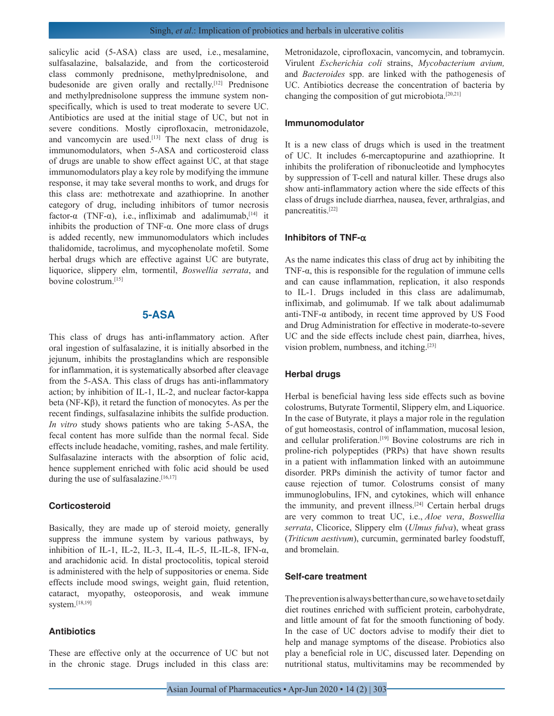salicylic acid (5-ASA) class are used, i.e., mesalamine, sulfasalazine, balsalazide, and from the corticosteroid class commonly prednisone, methylprednisolone, and budesonide are given orally and rectally.<sup>[12]</sup> Prednisone and methylprednisolone suppress the immune system nonspecifically, which is used to treat moderate to severe UC. Antibiotics are used at the initial stage of UC, but not in severe conditions. Mostly ciprofloxacin, metronidazole, and vancomycin are used.<sup>[13]</sup> The next class of drug is immunomodulators, when 5-ASA and corticosteroid class of drugs are unable to show effect against UC, at that stage immunomodulators play a key role by modifying the immune response, it may take several months to work, and drugs for this class are: methotrexate and azathioprine. In another category of drug, including inhibitors of tumor necrosis factor- $\alpha$  (TNF- $\alpha$ ), i.e., infliximab and adalimumab,<sup>[14]</sup> it inhibits the production of TNF-α. One more class of drugs is added recently, new immunomodulators which includes thalidomide, tacrolimus, and mycophenolate mofetil. Some herbal drugs which are effective against UC are butyrate, liquorice, slippery elm, tormentil, *Boswellia serrata*, and bovine colostrum.[15]

## **5-ASA**

This class of drugs has anti-inflammatory action. After oral ingestion of sulfasalazine, it is initially absorbed in the jejunum, inhibits the prostaglandins which are responsible for inflammation, it is systematically absorbed after cleavage from the 5-ASA. This class of drugs has anti-inflammatory action; by inhibition of IL-1, IL-2, and nuclear factor-kappa beta (NF-Kβ), it retard the function of monocytes. As per the recent findings, sulfasalazine inhibits the sulfide production. *In vitro* study shows patients who are taking 5-ASA, the fecal content has more sulfide than the normal fecal. Side effects include headache, vomiting, rashes, and male fertility. Sulfasalazine interacts with the absorption of folic acid, hence supplement enriched with folic acid should be used during the use of sulfasalazine. $[16,17]$ 

#### **Corticosteroid**

Basically, they are made up of steroid moiety, generally suppress the immune system by various pathways, by inhibition of IL-1, IL-2, IL-3, IL-4, IL-5, IL-IL-8, IFN-α, and arachidonic acid. In distal proctocolitis, topical steroid is administered with the help of suppositories or enema. Side effects include mood swings, weight gain, fluid retention, cataract, myopathy, osteoporosis, and weak immune system.[18,19]

#### **Antibiotics**

These are effective only at the occurrence of UC but not in the chronic stage. Drugs included in this class are: Metronidazole, ciprofloxacin, vancomycin, and tobramycin. Virulent *Escherichia coli* strains, *Mycobacterium avium,* and *Bacteroides* spp. are linked with the pathogenesis of UC. Antibiotics decrease the concentration of bacteria by changing the composition of gut microbiota.<sup>[20,21]</sup>

## **Immunomodulator**

It is a new class of drugs which is used in the treatment of UC. It includes 6-mercaptopurine and azathioprine. It inhibits the proliferation of ribonucleotide and lymphocytes by suppression of T-cell and natural killer. These drugs also show anti-inflammatory action where the side effects of this class of drugs include diarrhea, nausea, fever, arthralgias, and pancreatitis.[22]

#### **Inhibitors of TNF-**α

As the name indicates this class of drug act by inhibiting the TNF-α, this is responsible for the regulation of immune cells and can cause inflammation, replication, it also responds to IL-1. Drugs included in this class are adalimumab, infliximab, and golimumab. If we talk about adalimumab anti-TNF- $\alpha$  antibody, in recent time approved by US Food and Drug Administration for effective in moderate-to-severe UC and the side effects include chest pain, diarrhea, hives, vision problem, numbness, and itching.[23]

#### **Herbal drugs**

Herbal is beneficial having less side effects such as bovine colostrums, Butyrate Tormentil, Slippery elm, and Liquorice. In the case of Butyrate, it plays a major role in the regulation of gut homeostasis, control of inflammation, mucosal lesion, and cellular proliferation.<sup>[19]</sup> Bovine colostrums are rich in proline-rich polypeptides (PRPs) that have shown results in a patient with inflammation linked with an autoimmune disorder. PRPs diminish the activity of tumor factor and cause rejection of tumor. Colostrums consist of many immunoglobulins, IFN, and cytokines, which will enhance the immunity, and prevent illness.<sup>[24]</sup> Certain herbal drugs are very common to treat UC, i.e., *Aloe vera*, *Boswellia serrata*, Clicorice, Slippery elm (*Ulmus fulva*), wheat grass (*Triticum aestivum*), curcumin, germinated barley foodstuff, and bromelain.

#### **Self-care treatment**

The prevention is always better than cure, so we have to set daily diet routines enriched with sufficient protein, carbohydrate, and little amount of fat for the smooth functioning of body. In the case of UC doctors advise to modify their diet to help and manage symptoms of the disease. Probiotics also play a beneficial role in UC, discussed later. Depending on nutritional status, multivitamins may be recommended by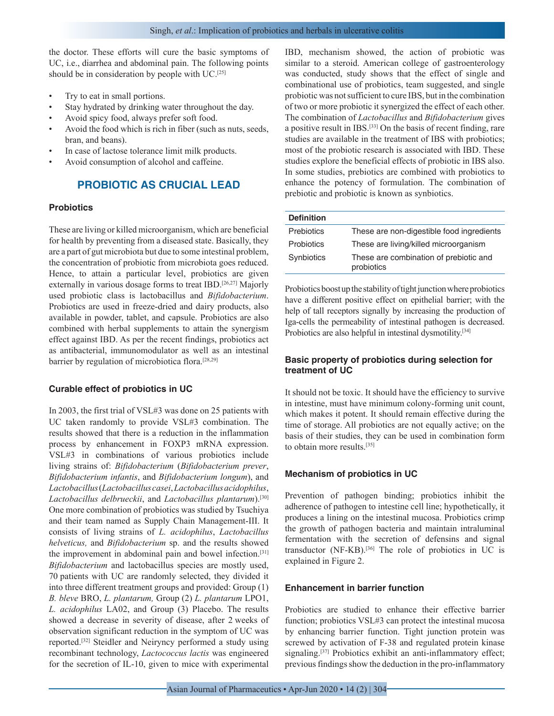the doctor. These efforts will cure the basic symptoms of UC, i.e., diarrhea and abdominal pain. The following points should be in consideration by people with UC.[25]

- Try to eat in small portions.
- Stay hydrated by drinking water throughout the day.
- Avoid spicy food, always prefer soft food.
- Avoid the food which is rich in fiber (such as nuts, seeds, bran, and beans).
- In case of lactose tolerance limit milk products.
- Avoid consumption of alcohol and caffeine.

# **PROBIOTIC AS CRUCIAL LEAD**

## **Probiotics**

These are living or killed microorganism, which are beneficial for health by preventing from a diseased state. Basically, they are a part of gut microbiota but due to some intestinal problem, the concentration of probiotic from microbiota goes reduced. Hence, to attain a particular level, probiotics are given externally in various dosage forms to treat IBD.<sup>[26,27]</sup> Majorly used probiotic class is lactobacillus and *Bifidobacterium*. Probiotics are used in freeze-dried and dairy products, also available in powder, tablet, and capsule. Probiotics are also combined with herbal supplements to attain the synergism effect against IBD. As per the recent findings, probiotics act as antibacterial, immunomodulator as well as an intestinal barrier by regulation of microbiotica flora.[28,29]

## **Curable effect of probiotics in UC**

In 2003, the first trial of VSL#3 was done on 25 patients with UC taken randomly to provide VSL#3 combination. The results showed that there is a reduction in the inflammation process by enhancement in FOXP3 mRNA expression. VSL#3 in combinations of various probiotics include living strains of: *Bifidobacterium* (*Bifidobacterium prever*, *Bifidobacterium infantis*, and *Bifidobacterium longum*), and *Lactobacillus* (*Lactobacilluscasei*, *Lactobacillusacidophilus*, *Lactobacillus delbrueckii*, and *Lactobacillus plantarum*).[30] One more combination of probiotics was studied by Tsuchiya and their team named as Supply Chain Management-III. It consists of living strains of *L. acidophilus*, *Lactobacillus helveticus,* and *Bifidobacterium* sp. and the results showed the improvement in abdominal pain and bowel infection.[31] *Bifidobacterium* and lactobacillus species are mostly used, 70 patients with UC are randomly selected, they divided it into three different treatment groups and provided: Group (1) *B. bleve* BRO, *L. plantarum,* Group (2) *L. plantarum* LPO1, *L. acidophilus* LA02, and Group (3) Placebo. The results showed a decrease in severity of disease, after 2 weeks of observation significant reduction in the symptom of UC was reported.[32] Steidler and Neiryncy performed a study using recombinant technology, *Lactococcus lactis* was engineered for the secretion of IL-10, given to mice with experimental IBD, mechanism showed, the action of probiotic was similar to a steroid. American college of gastroenterology was conducted, study shows that the effect of single and combinational use of probiotics, team suggested, and single probiotic was not sufficient to cure IBS, but in the combination of two or more probiotic it synergized the effect of each other. The combination of *Lactobacillus* and *Bifidobacterium* gives a positive result in IBS.[33] On the basis of recent finding, rare studies are available in the treatment of IBS with probiotics; most of the probiotic research is associated with IBD. These studies explore the beneficial effects of probiotic in IBS also. In some studies, prebiotics are combined with probiotics to enhance the potency of formulation. The combination of prebiotic and probiotic is known as synbiotics.

| <b>Definition</b> |                                                      |
|-------------------|------------------------------------------------------|
| <b>Prebiotics</b> | These are non-digestible food ingredients            |
| <b>Probiotics</b> | These are living/killed microorganism                |
| Synbiotics        | These are combination of prebiotic and<br>probiotics |

Probiotics boost up the stability of tight junction where probiotics have a different positive effect on epithelial barrier; with the help of tall receptors signally by increasing the production of Iga-cells the permeability of intestinal pathogen is decreased. Probiotics are also helpful in intestinal dysmotility.<sup>[34]</sup>

## **Basic property of probiotics during selection for treatment of UC**

It should not be toxic. It should have the efficiency to survive in intestine, must have minimum colony-forming unit count, which makes it potent. It should remain effective during the time of storage. All probiotics are not equally active; on the basis of their studies, they can be used in combination form to obtain more results.[35]

## **Mechanism of probiotics in UC**

Prevention of pathogen binding; probiotics inhibit the adherence of pathogen to intestine cell line; hypothetically, it produces a lining on the intestinal mucosa. Probiotics crimp the growth of pathogen bacteria and maintain intraluminal fermentation with the secretion of defensins and signal transductor (NF-KB).[36] The role of probiotics in UC is explained in Figure 2.

## **Enhancement in barrier function**

Probiotics are studied to enhance their effective barrier function; probiotics VSL#3 can protect the intestinal mucosa by enhancing barrier function. Tight junction protein was screwed by activation of F-38 and regulated protein kinase signaling.<sup>[37]</sup> Probiotics exhibit an anti-inflammatory effect; previous findings show the deduction in the pro-inflammatory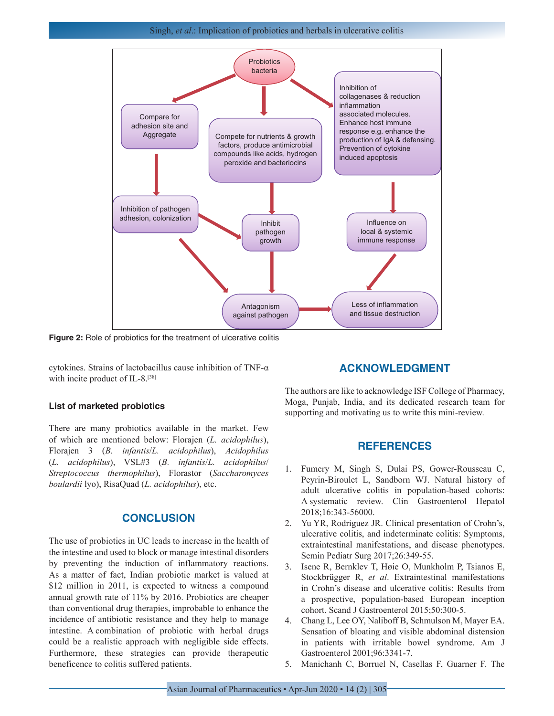Singh, *et al*.: Implication of probiotics and herbals in ulcerative colitis



**Figure 2:** Role of probiotics for the treatment of ulcerative colitis

cytokines. Strains of lactobacillus cause inhibition of TNF-α with incite product of IL-8.<sup>[38]</sup>

#### **List of marketed probiotics**

There are many probiotics available in the market. Few of which are mentioned below: Florajen (*L. acidophilus*), Florajen 3 (*B. infantis*/*L. acidophilus*), *Acidophilus* (*L. acidophilus*), VSL#3 (*B. infantis*/*L. acidophilus*/ *Streptococcus thermophilus*), Florastor (*Saccharomyces boulardii* lyo), RisaQuad (*L. acidophilus*), etc.

## **CONCLUSION**

The use of probiotics in UC leads to increase in the health of the intestine and used to block or manage intestinal disorders by preventing the induction of inflammatory reactions. As a matter of fact, Indian probiotic market is valued at \$12 million in 2011, is expected to witness a compound annual growth rate of 11% by 2016. Probiotics are cheaper than conventional drug therapies, improbable to enhance the incidence of antibiotic resistance and they help to manage intestine. A combination of probiotic with herbal drugs could be a realistic approach with negligible side effects. Furthermore, these strategies can provide therapeutic beneficence to colitis suffered patients.

## **ACKNOWLEDGMENT**

The authors are like to acknowledge ISF College of Pharmacy, Moga, Punjab, India, and its dedicated research team for supporting and motivating us to write this mini-review.

## **REFERENCES**

- 1. Fumery M, Singh S, Dulai PS, Gower-Rousseau C, Peyrin-Biroulet L, Sandborn WJ. Natural history of adult ulcerative colitis in population-based cohorts: A systematic review. Clin Gastroenterol Hepatol 2018;16:343-56000.
- 2. Yu YR, Rodriguez JR. Clinical presentation of Crohn's, ulcerative colitis, and indeterminate colitis: Symptoms, extraintestinal manifestations, and disease phenotypes. Semin Pediatr Surg 2017;26:349-55.
- 3. Isene R, Bernklev T, Høie O, Munkholm P, Tsianos E, Stockbrügger R, *et al*. Extraintestinal manifestations in Crohn's disease and ulcerative colitis: Results from a prospective, population-based European inception cohort. Scand J Gastroenterol 2015;50:300-5.
- 4. Chang L, Lee OY, Naliboff B, Schmulson M, Mayer EA. Sensation of bloating and visible abdominal distension in patients with irritable bowel syndrome. Am J Gastroenterol 2001;96:3341-7.
- 5. Manichanh C, Borruel N, Casellas F, Guarner F. The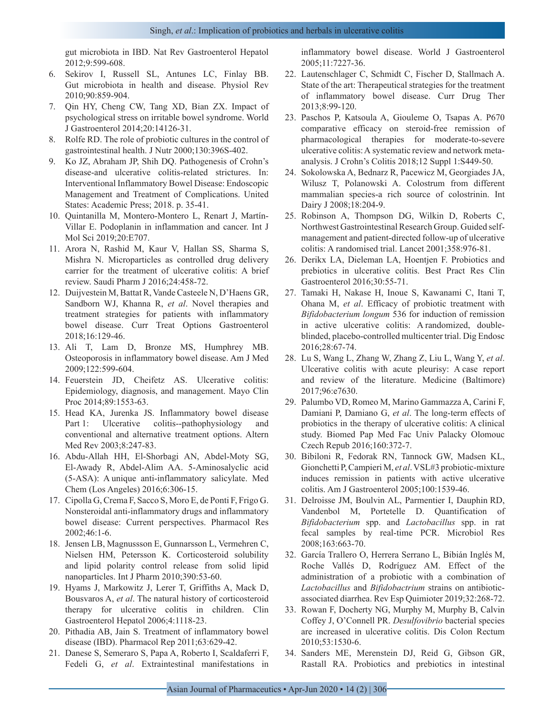gut microbiota in IBD. Nat Rev Gastroenterol Hepatol 2012;9:599-608.

- 6. Sekirov I, Russell SL, Antunes LC, Finlay BB. Gut microbiota in health and disease. Physiol Rev 2010;90:859-904.
- 7. Qin HY, Cheng CW, Tang XD, Bian ZX. Impact of psychological stress on irritable bowel syndrome. World J Gastroenterol 2014;20:14126-31.
- 8. Rolfe RD. The role of probiotic cultures in the control of gastrointestinal health. J Nutr 2000;130:396S-402.
- 9. Ko JZ, Abraham JP, Shih DQ. Pathogenesis of Crohn's disease-and ulcerative colitis-related strictures. In: Interventional Inflammatory Bowel Disease: Endoscopic Management and Treatment of Complications. United States: Academic Press; 2018. p. 35-41.
- 10. Quintanilla M, Montero-Montero L, Renart J, Martín-Villar E. Podoplanin in inflammation and cancer. Int J Mol Sci 2019;20:E707.
- 11. Arora N, Rashid M, Kaur V, Hallan SS, Sharma S, Mishra N. Microparticles as controlled drug delivery carrier for the treatment of ulcerative colitis: A brief review. Saudi Pharm J 2016;24:458-72.
- 12. Duijvestein M, Battat R, Vande Casteele N, D'Haens GR, Sandborn WJ, Khanna R, *et al*. Novel therapies and treatment strategies for patients with inflammatory bowel disease. Curr Treat Options Gastroenterol 2018;16:129-46.
- 13. Ali T, Lam D, Bronze MS, Humphrey MB. Osteoporosis in inflammatory bowel disease. Am J Med 2009;122:599-604.
- 14. Feuerstein JD, Cheifetz AS. Ulcerative colitis: Epidemiology, diagnosis, and management. Mayo Clin Proc 2014;89:1553-63.
- 15. Head KA, Jurenka JS. Inflammatory bowel disease Part 1: Ulcerative colitis--pathophysiology and conventional and alternative treatment options. Altern Med Rev 2003;8:247-83.
- 16. Abdu-Allah HH, El-Shorbagi AN, Abdel-Moty SG, El-Awady R, Abdel-Alim AA. 5-Aminosalyclic acid (5-ASA): A unique anti-inflammatory salicylate. Med Chem (Los Angeles) 2016;6:306-15.
- 17. Cipolla G, Crema F, Sacco S, Moro E, de Ponti F, Frigo G. Nonsteroidal anti-inflammatory drugs and inflammatory bowel disease: Current perspectives. Pharmacol Res 2002;46:1-6.
- 18. Jensen LB, Magnussson E, Gunnarsson L, Vermehren C, Nielsen HM, Petersson K. Corticosteroid solubility and lipid polarity control release from solid lipid nanoparticles. Int J Pharm 2010;390:53-60.
- 19. Hyams J, Markowitz J, Lerer T, Griffiths A, Mack D, Bousvaros A, *et al*. The natural history of corticosteroid therapy for ulcerative colitis in children. Clin Gastroenterol Hepatol 2006;4:1118-23.
- 20. Pithadia AB, Jain S. Treatment of inflammatory bowel disease (IBD). Pharmacol Rep 2011;63:629-42.
- 21. Danese S, Semeraro S, Papa A, Roberto I, Scaldaferri F, Fedeli G, *et al*. Extraintestinal manifestations in

inflammatory bowel disease. World J Gastroenterol 2005;11:7227-36.

- 22. Lautenschlager C, Schmidt C, Fischer D, Stallmach A. State of the art: Therapeutical strategies for the treatment of inflammatory bowel disease. Curr Drug Ther 2013;8:99-120.
- 23. Paschos P, Katsoula A, Giouleme O, Tsapas A. P670 comparative efficacy on steroid-free remission of pharmacological therapies for moderate-to-severe ulcerative colitis: A systematic review and network metaanalysis. J Crohn's Colitis 2018;12 Suppl 1:S449-50.
- 24. Sokolowska A, Bednarz R, Pacewicz M, Georgiades JA, Wilusz T, Polanowski A. Colostrum from different mammalian species-a rich source of colostrinin. Int Dairy J 2008;18:204-9.
- 25. Robinson A, Thompson DG, Wilkin D, Roberts C, Northwest Gastrointestinal Research Group. Guided selfmanagement and patient-directed follow-up of ulcerative colitis: A randomised trial. Lancet 2001;358:976-81.
- 26. Derikx LA, Dieleman LA, Hoentjen F. Probiotics and prebiotics in ulcerative colitis. Best Pract Res Clin Gastroenterol 2016;30:55-71.
- 27. Tamaki H, Nakase H, Inoue S, Kawanami C, Itani T, Ohana M, *et al*. Efficacy of probiotic treatment with *Bifidobacterium longum* 536 for induction of remission in active ulcerative colitis: A randomized, doubleblinded, placebo-controlled multicenter trial. Dig Endosc 2016;28:67-74.
- 28. Lu S, Wang L, Zhang W, Zhang Z, Liu L, Wang Y, *et al*. Ulcerative colitis with acute pleurisy: A case report and review of the literature. Medicine (Baltimore) 2017;96:e7630.
- 29. Palumbo VD, Romeo M, Marino Gammazza A, Carini F, Damiani P, Damiano G, *et al*. The long-term effects of probiotics in the therapy of ulcerative colitis: A clinical study. Biomed Pap Med Fac Univ Palacky Olomouc Czech Repub 2016;160:372-7.
- 30. Bibiloni R, Fedorak RN, Tannock GW, Madsen KL, Gionchetti P, Campieri M, *et al*. VSL#3 probiotic-mixture induces remission in patients with active ulcerative colitis. Am J Gastroenterol 2005;100:1539-46.
- 31. Delroisse JM, Boulvin AL, Parmentier I, Dauphin RD, Vandenbol M, Portetelle D. Quantification of *Bifidobacterium* spp. and *Lactobacillus* spp. in rat fecal samples by real-time PCR. Microbiol Res 2008;163:663-70.
- 32. García Trallero O, Herrera Serrano L, Bibián Inglés M, Roche Vallés D, Rodríguez AM. Effect of the administration of a probiotic with a combination of *Lactobacillus* and *Bifidobactrium* strains on antibioticassociated diarrhea. Rev Esp Quimioter 2019;32:268-72.
- 33. Rowan F, Docherty NG, Murphy M, Murphy B, Calvin Coffey J, O'Connell PR. *Desulfovibrio* bacterial species are increased in ulcerative colitis. Dis Colon Rectum 2010;53:1530-6.
- 34. Sanders ME, Merenstein DJ, Reid G, Gibson GR, Rastall RA. Probiotics and prebiotics in intestinal